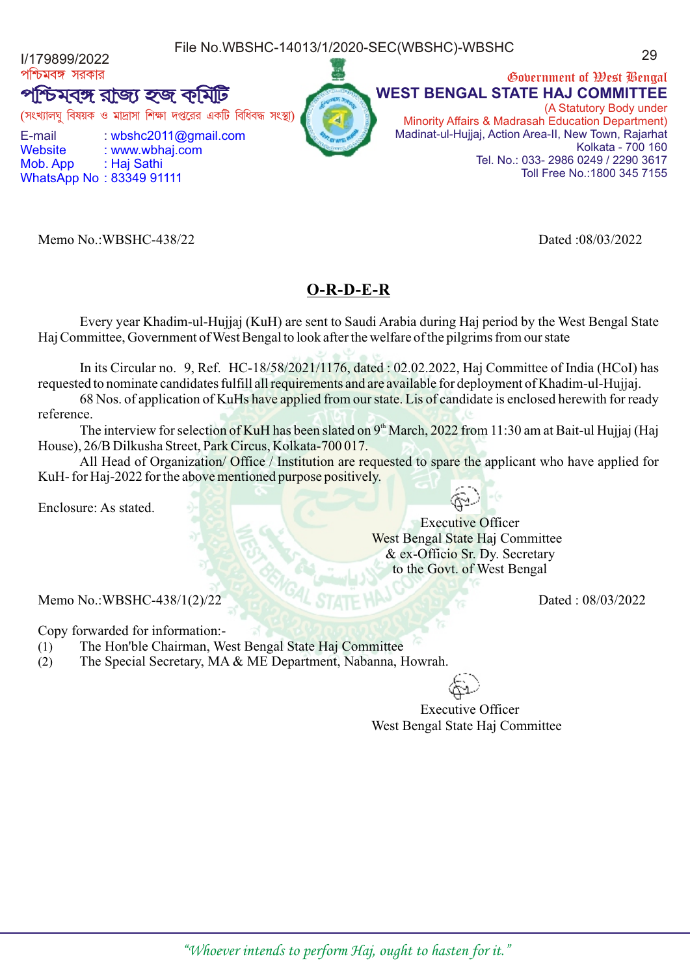File No.WBSHC-14013/1/2020-SEC(WBSHC)-WBSHC المستحدة 1/179899/2022

পশ্চিমবঙ্গ সরকার

টমবঙ্গ রাজ্য হজ কমিটি

(সংখ্যালঘ বিষয়ক ও মাদ্রাসা শিক্ষা দপ্তরের একটি বিধিবদ্ধ

E-mail : wbshc2011@gmail.com Website : www.wbhaj.com Mob. App : Haj Sathi

WhatsApp No : 83349 91111

Memo No.:WBSHC-438/22 Dated :08/03/2022

#### **O-R-D-E-R**

Every year Khadim-ul-Hujjaj (KuH) are sent to Saudi Arabia during Haj period by the West Bengal State Haj Committee, Government of West Bengal to look after the welfare of the pilgrims from our state

In its Circular no. 9, Ref. HC-18/58/2021/1176, dated : 02.02.2022, Haj Committee of India (HCoI) has requested to nominate candidates fulfill all requirements and are available for deployment of Khadim-ul-Hujjaj.

68 Nos. of application of KuHs have applied from our state. Lis of candidate is enclosed herewith for ready reference.

The interview for selection of KuH has been slated on  $9<sup>th</sup>$  March, 2022 from 11:30 am at Bait-ul Hujjaj (Haj House), 26/B Dilkusha Street, Park Circus, Kolkata-700 017.

All Head of Organization/ Office / Institution are requested to spare the applicant who have applied for KuH- for Haj-2022 for the above mentioned purpose positively.

Enclosure: As stated.

 Executive Officer West Bengal State Haj Committee & ex-Officio Sr. Dy. Secretary to the Govt. of West Bengal

Memo No.:WBSHC-438/1(2)/22 Dated : 08/03/2022

Copy forwarded for information:-

- (1) The Hon'ble Chairman, West Bengal State Haj Committee
- (2) The Special Secretary, MA & ME Department, Nabanna, Howrah.

 Executive Officer West Bengal State Haj Committee





|  |  | Government of West Bengal                             |
|--|--|-------------------------------------------------------|
|  |  | <b>WEST BENGAL STATE HAJ COMMITTEE</b>                |
|  |  | (A Statutory Body under                               |
|  |  | Minority Affairs & Madrasah Education Department)     |
|  |  | Madinat-ul-Hujjaj, Action Area-II, New Town, Rajarhat |
|  |  | Kolkata - 700 160                                     |

Tel. No.: 033- 2986 0249 / 2290 3617

Toll Free No.:1800 345 7155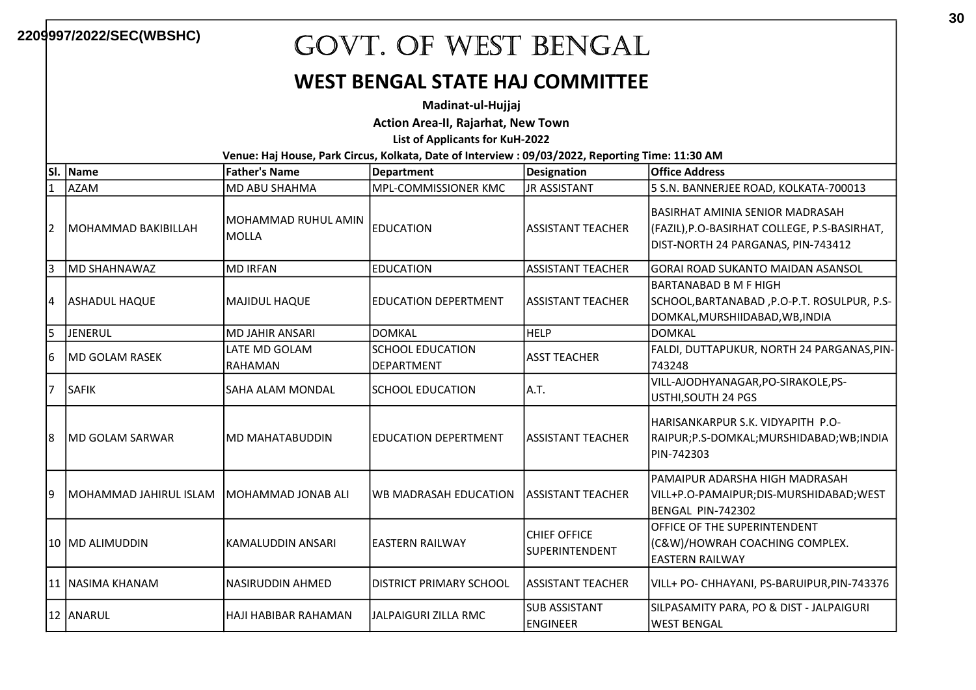#### WEST BENGAL STATE HAJ COMMITTEE

Madinat-ul-Hujjaj

Action Area-II, Rajarhat, New Town

List of Applicants for KuH-2022

| lsı. | Name                        | <b>Father's Name</b>                | <b>Department</b>                            | <b>Designation</b>                           | <b>Office Address</b>                                                                                                |
|------|-----------------------------|-------------------------------------|----------------------------------------------|----------------------------------------------|----------------------------------------------------------------------------------------------------------------------|
| 1    | <b>AZAM</b>                 | MD ABU SHAHMA                       | MPL-COMMISSIONER KMC                         | <b>JR ASSISTANT</b>                          | 5 S.N. BANNERJEE ROAD, KOLKATA-700013                                                                                |
| 2    | <b>IMOHAMMAD BAKIBILLAH</b> | MOHAMMAD RUHUL AMIN<br><b>MOLLA</b> | <b>EDUCATION</b>                             | <b>ASSISTANT TEACHER</b>                     | BASIRHAT AMINIA SENIOR MADRASAH<br>(FAZIL),P.O-BASIRHAT COLLEGE, P.S-BASIRHAT,<br>DIST-NORTH 24 PARGANAS, PIN-743412 |
| 3    | <b>IMD SHAHNAWAZ</b>        | <b>MD IRFAN</b>                     | <b>EDUCATION</b>                             | <b>ASSISTANT TEACHER</b>                     | GORAI ROAD SUKANTO MAIDAN ASANSOL                                                                                    |
| 14   | <b>ASHADUL HAQUE</b>        | MAJIDUL HAQUE                       | <b>EDUCATION DEPERTMENT</b>                  | <b>ASSISTANT TEACHER</b>                     | IBARTANABAD B M F HIGH<br>SCHOOL,BARTANABAD,P.O-P.T. ROSULPUR, P.S-<br>DOMKAL, MURSHIIDABAD, WB, INDIA               |
| l5   | JENERUL                     | MD JAHIR ANSARI                     | <b>DOMKAL</b>                                | <b>HELP</b>                                  | DOMKAL                                                                                                               |
| 16   | IMD GOLAM RASEK             | LATE MD GOLAM<br>RAHAMAN            | <b>SCHOOL EDUCATION</b><br><b>DEPARTMENT</b> | <b>ASST TEACHER</b>                          | FALDI, DUTTAPUKUR, NORTH 24 PARGANAS, PIN-<br>743248                                                                 |
| 17   | <b>SAFIK</b>                | lsaha alam mondal                   | <b>SCHOOL EDUCATION</b>                      | A.T.                                         | VILL-AJODHYANAGAR, PO-SIRAKOLE, PS-<br>USTHI, SOUTH 24 PGS                                                           |
| 18   | <b>IMD GOLAM SARWAR</b>     | IMD MAHATABUDDIN                    | EDUCATION DEPERTMENT                         | ASSISTANT TEACHER                            | IHARISANKARPUR S.K. VIDYAPITH  P.O-<br>RAIPUR;P.S-DOMKAL;MURSHIDABAD;WB;INDIA<br>IPIN-742303                         |
| 19   | MOHAMMAD JAHIRUL ISLAM      | IMOHAMMAD JONAB ALI                 | <b>WB MADRASAH EDUCATION</b>                 | <b>ASSISTANT TEACHER</b>                     | PAMAIPUR ADARSHA HIGH MADRASAH<br>VILL+P.O-PAMAIPUR;DIS-MURSHIDABAD;WEST<br>IBENGAL PIN-742302                       |
|      | 10 IMD ALIMUDDIN            | İKAMALUDDIN ANSARI                  | IEASTERN RAILWAY                             | <b>CHIEF OFFICE</b><br><b>SUPERINTENDENT</b> | OFFICE OF THE SUPERINTENDENT<br>(C&W)/HOWRAH COACHING COMPLEX.<br>leastern railway                                   |
|      | 11  NASIMA KHANAM           | NASIRUDDIN AHMED                    | <b>DISTRICT PRIMARY SCHOOL</b>               | <b>ASSISTANT TEACHER</b>                     | VILL+ PO- CHHAYANI, PS-BARUIPUR,PIN-743376                                                                           |
|      | 12 ANARUL                   | <b>HAJI HABIBAR RAHAMAN</b>         | <b>JALPAIGURI ZILLA RMC</b>                  | <b>SUB ASSISTANT</b><br><b>ENGINEER</b>      | SILPASAMITY PARA, PO & DIST - JALPAIGURI<br>WEST BENGAL                                                              |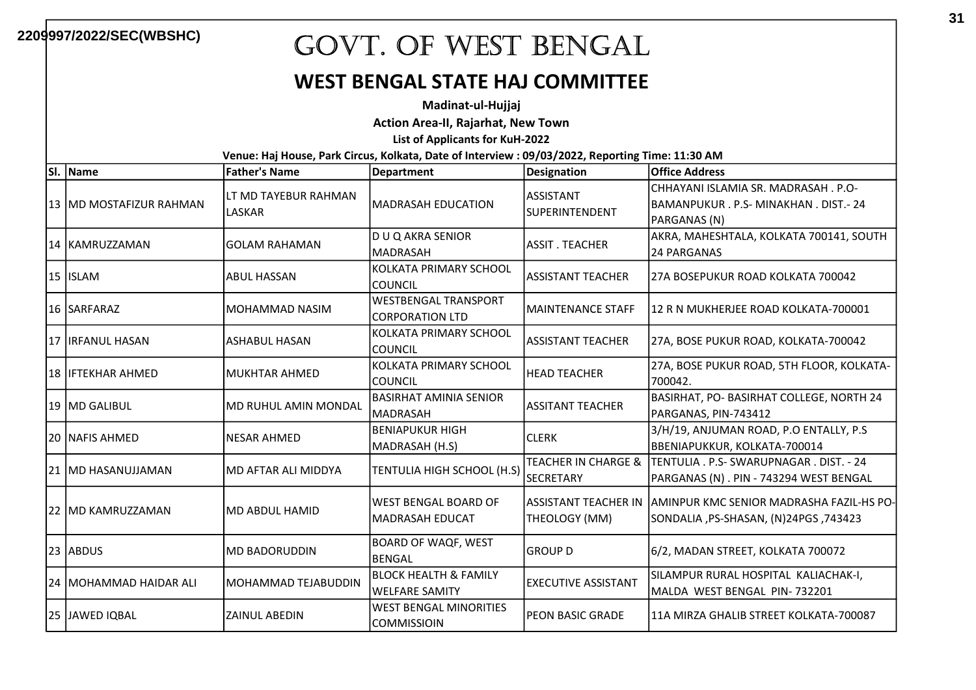### WEST BENGAL STATE HAJ COMMITTEE

Madinat-ul-Hujjaj

Action Area-II, Rajarhat, New Town

List of Applicants for KuH-2022

| SI. | Name                      | <b>Father's Name</b>                  | <b>Department</b>                                         | <b>Designation</b>                      | <b>Office Address</b>                                                                                   |
|-----|---------------------------|---------------------------------------|-----------------------------------------------------------|-----------------------------------------|---------------------------------------------------------------------------------------------------------|
|     | 13   MD MOSTAFIZUR RAHMAN | LT MD TAYEBUR RAHMAN<br><b>LASKAR</b> | <b>MADRASAH EDUCATION</b>                                 | <b>ASSISTANT</b><br>SUPERINTENDENT      | CHHAYANI ISLAMIA SR. MADRASAH . P.O-<br>BAMANPUKUR . P.S- MINAKHAN . DIST.- 24<br>PARGANAS (N)          |
|     | 14 KAMRUZZAMAN            | <b>GOLAM RAHAMAN</b>                  | D U Q AKRA SENIOR<br><b>MADRASAH</b>                      | <b>ASSIT. TEACHER</b>                   | AKRA, MAHESHTALA, KOLKATA 700141, SOUTH<br>24 PARGANAS                                                  |
|     | 15 ISLAM                  | <b>ABUL HASSAN</b>                    | KOLKATA PRIMARY SCHOOL<br><b>COUNCIL</b>                  | <b>ASSISTANT TEACHER</b>                | l27A BOSEPUKUR ROAD KOLKATA 700042                                                                      |
|     | <b>16 ISARFARAZ</b>       | MOHAMMAD NASIM                        | <b>WESTBENGAL TRANSPORT</b><br><b>CORPORATION LTD</b>     | <b>MAINTENANCE STAFF</b>                | l12 R N MUKHERJEE ROAD KOLKATA-700001                                                                   |
|     | 17 IRFANUL HASAN          | <b>ASHABUL HASAN</b>                  | KOLKATA PRIMARY SCHOOL<br><b>COUNCIL</b>                  | <b>ASSISTANT TEACHER</b>                | 27A, BOSE PUKUR ROAD, KOLKATA-700042                                                                    |
|     | <b>18 IIFTEKHAR AHMED</b> | <b>MUKHTAR AHMED</b>                  | KOLKATA PRIMARY SCHOOL<br><b>COUNCIL</b>                  | <b>HEAD TEACHER</b>                     | 27A, BOSE PUKUR ROAD, 5TH FLOOR, KOLKATA-<br>700042.                                                    |
|     | 19 MD GALIBUL             | MD RUHUL AMIN MONDAL                  | <b>BASIRHAT AMINIA SENIOR</b><br><b>MADRASAH</b>          | <b>ASSITANT TEACHER</b>                 | BASIRHAT, PO- BASIRHAT COLLEGE, NORTH 24<br>PARGANAS, PIN-743412                                        |
|     | 20 INAFIS AHMED           | <b>NESAR AHMED</b>                    | <b>BENIAPUKUR HIGH</b><br>MADRASAH (H.S)                  | <b>CLERK</b>                            | 3/H/19, ANJUMAN ROAD, P.O ENTALLY, P.S<br>BBENIAPUKKUR, KOLKATA-700014                                  |
|     | 21  MD HASANUJJAMAN       | MD AFTAR ALI MIDDYA                   | TENTULIA HIGH SCHOOL (H.S)                                | TEACHER IN CHARGE &<br><b>SECRETARY</b> | TENTULIA . P.S- SWARUPNAGAR . DIST. - 24<br>PARGANAS (N) . PIN - 743294 WEST BENGAL                     |
|     | 22   MD KAMRUZZAMAN       | <b>MD ABDUL HAMID</b>                 | WEST BENGAL BOARD OF<br><b>MADRASAH EDUCAT</b>            | THEOLOGY (MM)                           | ASSISTANT TEACHER IN JAMINPUR KMC SENIOR MADRASHA FAZIL-HS PO-<br>743423, SONDALIA ,PS-SHASAN, (N)24PGS |
|     | 23 ABDUS                  | <b>MD BADORUDDIN</b>                  | <b>BOARD OF WAQF, WEST</b><br><b>BENGAL</b>               | <b>GROUP D</b>                          | 6/2, MADAN STREET, KOLKATA 700072                                                                       |
|     | 24   MOHAMMAD HAIDAR ALI  | MOHAMMAD TEJABUDDIN                   | <b>BLOCK HEALTH &amp; FAMILY</b><br><b>WELFARE SAMITY</b> | <b>EXECUTIVE ASSISTANT</b>              | SILAMPUR RURAL HOSPITAL KALIACHAK-I,<br>MALDA WEST BENGAL PIN-732201                                    |
|     | 25 JAWED IQBAL            | <b>ZAINUL ABEDIN</b>                  | WEST BENGAL MINORITIES<br><b>COMMISSIOIN</b>              | PEON BASIC GRADE                        | 111A MIRZA GHALIB STREET KOLKATA-700087                                                                 |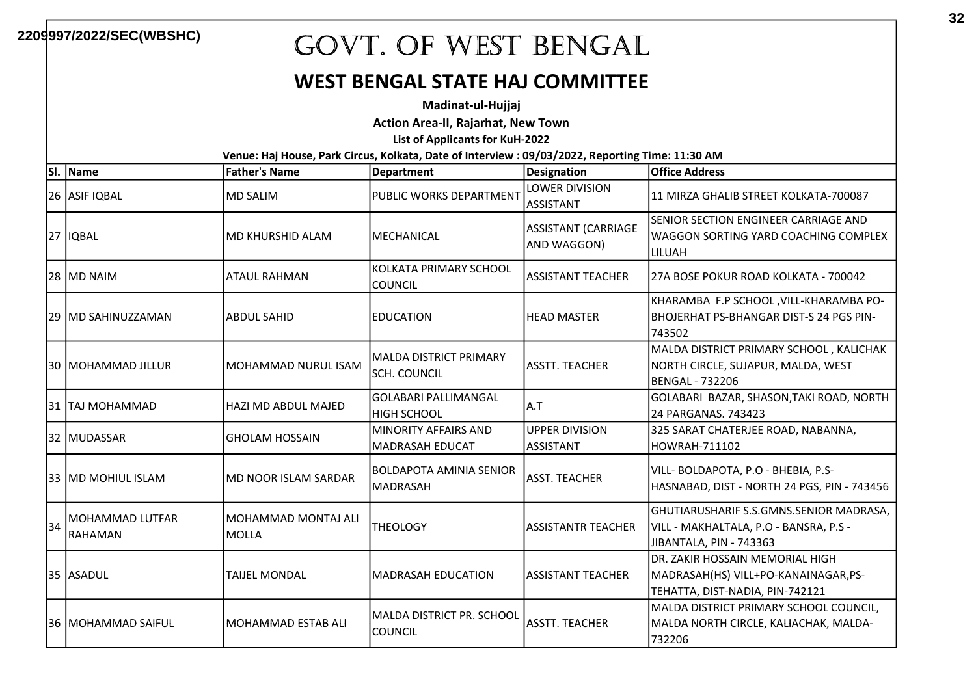#### WEST BENGAL STATE HAJ COMMITTEE

Madinat-ul-Hujjaj

Action Area-II, Rajarhat, New Town

List of Applicants for KuH-2022

| SI. | Name                                     | <b>Father's Name</b>         | Department                                        | <b>Designation</b>                        | <b>Office Address</b>                                                                                        |
|-----|------------------------------------------|------------------------------|---------------------------------------------------|-------------------------------------------|--------------------------------------------------------------------------------------------------------------|
|     | 26 ASIF IQBAL                            | <b>MD SALIM</b>              | PUBLIC WORKS DEPARTMENT                           | LOWER DIVISION<br><b>ASSISTANT</b>        | 111 MIRZA GHALIB STREET KOLKATA-700087                                                                       |
|     | <b>27 IQBAL</b>                          | IMD KHURSHID ALAM            | IMECHANICAL                                       | <b>ASSISTANT (CARRIAGE</b><br>AND WAGGON) | SENIOR SECTION ENGINEER CARRIAGE AND<br>lWAGGON SORTING YARD COACHING COMPLEX<br>LILUAH                      |
|     | 28 MD NAIM                               | ATAUL RAHMAN                 | KOLKATA PRIMARY SCHOOL<br><b>COUNCIL</b>          | <b>ASSISTANT TEACHER</b>                  | l27A BOSE POKUR ROAD KOLKATA - 700042                                                                        |
|     | 129 IMD SAHINUZZAMAN                     | ABDUL SAHID                  | <b>EDUCATION</b>                                  | <b>HEAD MASTER</b>                        | KHARAMBA F.P SCHOOL, VILL-KHARAMBA PO-<br>IBHOJERHAT PS-BHANGAR DIST-S 24 PGS PIN-<br>743502                 |
|     | 30  MOHAMMAD JILLUR                      | MOHAMMAD NURUL ISAM          | MALDA DISTRICT PRIMARY<br>SCH. COUNCIL            | <b>ASSTT. TEACHER</b>                     | MALDA DISTRICT PRIMARY SCHOOL, KALICHAK<br>NORTH CIRCLE, SUJAPUR, MALDA, WEST<br><b>BENGAL - 732206</b>      |
|     | 31  TAJ MOHAMMAD                         | HAZI MD ABDUL MAJED          | lGOLABARI PALLIMANGAL<br>HIGH SCHOOL              | A.T                                       | GOLABARI BAZAR, SHASON, TAKI ROAD, NORTH<br>24 PARGANAS. 743423                                              |
|     | 32 MUDASSAR                              | IGHOLAM HOSSAIN              | <b>MINORITY AFFAIRS AND</b><br>MADRASAH EDUCAT    | <b>UPPER DIVISION</b><br><b>ASSISTANT</b> | 325 SARAT CHATERJEE ROAD, NABANNA,<br>HOWRAH-711102                                                          |
|     | 33 IMD MOHIUL ISLAM                      | <b>MD NOOR ISLAM SARDAR</b>  | <b>BOLDAPOTA AMINIA SENIOR</b><br><b>MADRASAH</b> | <b>ASST. TEACHER</b>                      | VILL- BOLDAPOTA, P.O - BHEBIA, P.S-<br>HASNABAD, DIST - NORTH 24 PGS, PIN - 743456                           |
| 34  | <b>MOHAMMAD LUTFAR</b><br><b>RAHAMAN</b> | MOHAMMAD MONTAJ ALI<br>MOLLA | THEOLOGY                                          | <b>ASSISTANTR TEACHER</b>                 | GHUTIARUSHARIF S.S.GMNS.SENIOR MADRASA,<br>VILL - MAKHALTALA, P.O - BANSRA, P.S -<br>JIBANTALA, PIN - 743363 |
|     | 35 ASADUL                                | <b>TAIJEL MONDAL</b>         | IMADRASAH EDUCATION                               | ASSISTANT TEACHER                         | DR. ZAKIR HOSSAIN MEMORIAL HIGH<br>MADRASAH(HS) VILL+PO-KANAINAGAR,PS-<br>TEHATTA, DIST-NADIA, PIN-742121    |
|     | l36  MOHAMMAD SAIFUL                     | MOHAMMAD ESTAB ALI           | MALDA DISTRICT PR. SCHOOL<br><b>COUNCIL</b>       | <b>ASSTT. TEACHER</b>                     | MALDA DISTRICT PRIMARY SCHOOL COUNCIL,<br>MALDA NORTH CIRCLE, KALIACHAK, MALDA-<br>732206                    |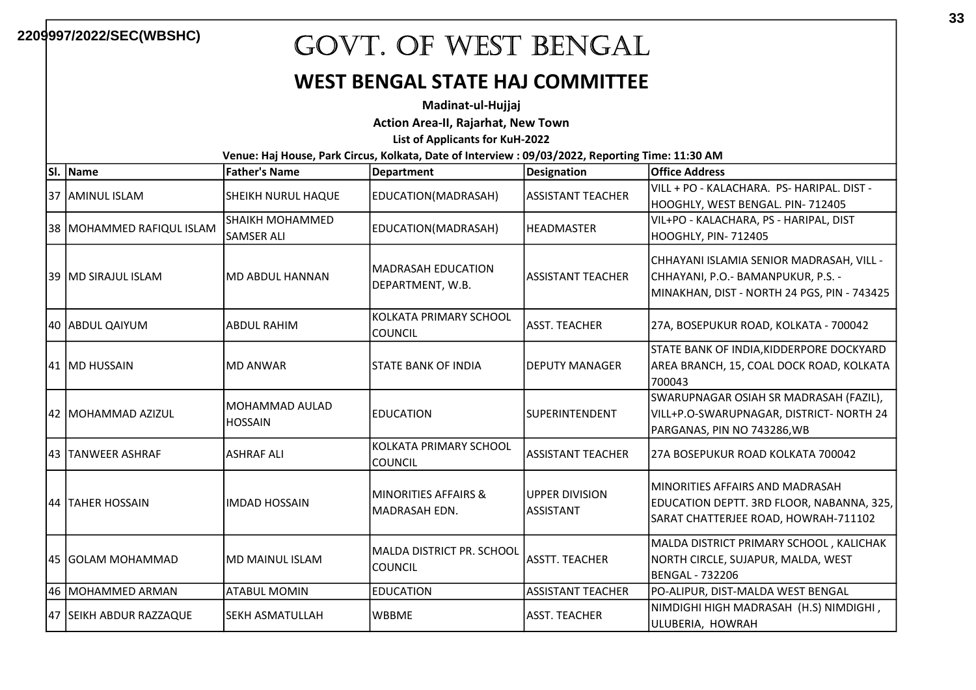#### WEST BENGAL STATE HAJ COMMITTEE

Madinat-ul-Hujjaj

Action Area-II, Rajarhat, New Town

List of Applicants for KuH-2022

| lsı. | Name                        | <b>Father's Name</b>                 | Department                                  | <b>Designation</b>                        | <b>Office Address</b>                                                                                                         |
|------|-----------------------------|--------------------------------------|---------------------------------------------|-------------------------------------------|-------------------------------------------------------------------------------------------------------------------------------|
|      | 37 AMINUL ISLAM             | SHEIKH NURUL HAQUE                   | EDUCATION(MADRASAH)                         | <b>ASSISTANT TEACHER</b>                  | VILL + PO - KALACHARA. PS- HARIPAL. DIST -<br>HOOGHLY, WEST BENGAL. PIN-712405                                                |
|      | 38   MOHAMMED RAFIQUL ISLAM | SHAIKH MOHAMMED<br><b>SAMSER ALI</b> | EDUCATION(MADRASAH)                         | <b>HEADMASTER</b>                         | VIL+PO - KALACHARA, PS - HARIPAL, DIST<br>HOOGHLY, PIN- 712405                                                                |
|      | 39  MD SIRAJUL ISLAM        | MD ABDUL HANNAN                      | lMADRASAH EDUCATION<br>DEPARTMENT, W.B.     | ASSISTANT TEACHER                         | CHHAYANI ISLAMIA SENIOR MADRASAH, VILL -<br>CHHAYANI, P.O.- BAMANPUKUR, P.S. -<br>MINAKHAN, DIST - NORTH 24 PGS, PIN - 743425 |
|      | 40  ABDUL QAIYUM            | <b>ABDUL RAHIM</b>                   | KOLKATA PRIMARY SCHOOL<br><b>COUNCIL</b>    | <b>ASST. TEACHER</b>                      | 27A, BOSEPUKUR ROAD, KOLKATA - 700042                                                                                         |
|      | 41   MD HUSSAIN             | <b>MD ANWAR</b>                      | ISTATE BANK OF INDIA                        | <b>DEPUTY MANAGER</b>                     | STATE BANK OF INDIA, KIDDERPORE DOCKYARD<br>AREA BRANCH, 15, COAL DOCK ROAD, KOLKATA<br>700043                                |
|      | 42  MOHAMMAD AZIZUL         | MOHAMMAD AULAD<br><b>HOSSAIN</b>     | <b>EDUCATION</b>                            | SUPERINTENDENT                            | SWARUPNAGAR OSIAH SR MADRASAH (FAZIL),<br>VILL+P.O-SWARUPNAGAR, DISTRICT- NORTH 24<br>PARGANAS, PIN NO 743286, WB             |
|      | 43  TANWEER ASHRAF          | <b>ASHRAF ALI</b>                    | KOLKATA PRIMARY SCHOOL<br><b>COUNCIL</b>    | <b>ASSISTANT TEACHER</b>                  | 27A BOSEPUKUR ROAD KOLKATA 700042                                                                                             |
|      | 44  TAHER HOSSAIN           | <b>IMDAD HOSSAIN</b>                 | MINORITIES AFFAIRS &<br>MADRASAH EDN.       | <b>UPPER DIVISION</b><br><b>ASSISTANT</b> | IMINORITIES AFFAIRS AND MADRASAH<br>EDUCATION DEPTT. 3RD FLOOR, NABANNA, 325,<br>SARAT CHATTERJEE ROAD, HOWRAH-711102         |
|      | l45 IGOLAM MOHAMMAD         | MD MAINUL ISLAM                      | MALDA DISTRICT PR. SCHOOL<br><b>COUNCIL</b> | <b>ASSTT. TEACHER</b>                     | MALDA DISTRICT PRIMARY SCHOOL, KALICHAK<br>NORTH CIRCLE, SUJAPUR, MALDA, WEST<br>BENGAL - 732206                              |
|      | 46 MOHAMMED ARMAN           | <b>ATABUL MOMIN</b>                  | <b>EDUCATION</b>                            | <b>ASSISTANT TEACHER</b>                  | PO-ALIPUR, DIST-MALDA WEST BENGAL                                                                                             |
|      | 47 SEIKH ABDUR RAZZAQUE     | lSEKH ASMATULLAH                     | lwbbME                                      | <b>ASST. TEACHER</b>                      | NIMDIGHI HIGH MADRASAH (H.S) NIMDIGHI,<br>ULUBERIA, HOWRAH                                                                    |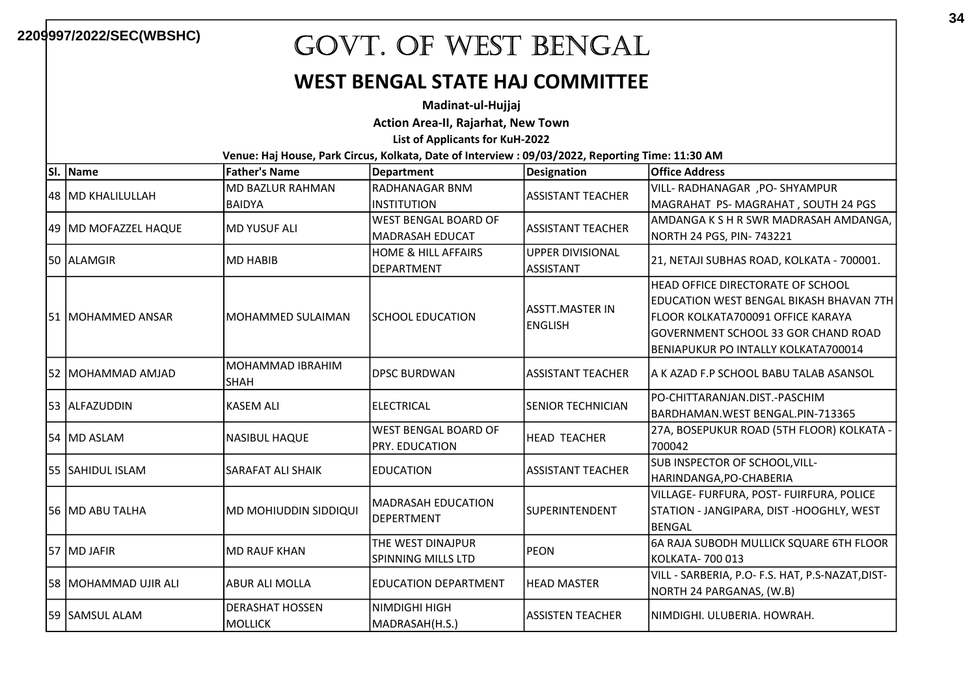#### WEST BENGAL STATE HAJ COMMITTEE

Madinat-ul-Hujjaj

Action Area-II, Rajarhat, New Town

List of Applicants for KuH-2022

| SI. | Name                   | <b>Father's Name</b>            | <b>Department</b>                       | Designation              | <b>Office Address</b>                            |
|-----|------------------------|---------------------------------|-----------------------------------------|--------------------------|--------------------------------------------------|
|     | 48  MD KHALILULLAH     | <b>MD BAZLUR RAHMAN</b>         | RADHANAGAR BNM                          | ASSISTANT TEACHER        | VILL- RADHANAGAR , PO- SHYAMPUR                  |
|     |                        | <b>BAIDYA</b>                   | <b>INSTITUTION</b>                      |                          | MAGRAHAT PS-MAGRAHAT, SOUTH 24 PGS               |
|     | 49  MD MOFAZZEL HAQUE  |                                 | <b>WEST BENGAL BOARD OF</b>             |                          | AMDANGA K S H R SWR MADRASAH AMDANGA,            |
|     |                        | <b>MD YUSUF ALI</b>             | MADRASAH EDUCAT                         | ASSISTANT TEACHER        | NORTH 24 PGS, PIN- 743221                        |
|     | 50 ALAMGIR             | <b>MD HABIB</b>                 | <b>HOME &amp; HILL AFFAIRS</b>          | UPPER DIVISIONAL         |                                                  |
|     |                        |                                 | DEPARTMENT                              | ASSISTANT                | 21, NETAJI SUBHAS ROAD, KOLKATA - 700001.        |
|     |                        |                                 |                                         |                          | <b>HEAD OFFICE DIRECTORATE OF SCHOOL</b>         |
|     |                        |                                 |                                         | lASSTT.MASTER IN         | EDUCATION WEST BENGAL BIKASH BHAVAN 7TH          |
|     | 51 IMOHAMMED ANSAR     | MOHAMMED SULAIMAN               | <b>SCHOOL EDUCATION</b>                 | <b>ENGLISH</b>           | lfloor kolkata700091 OFFICE KARAYA               |
|     |                        |                                 |                                         |                          | IGOVERNMENT SCHOOL 33 GOR CHAND ROAD             |
|     |                        |                                 |                                         |                          | BENIAPUKUR PO INTALLY KOLKATA700014              |
|     | 52 MOHAMMAD AMJAD      | MOHAMMAD IBRAHIM<br><b>SHAH</b> | <b>DPSC BURDWAN</b>                     | lASSISTANT TEACHER       | IA K AZAD F.P SCHOOL BABU TALAB ASANSOL          |
|     |                        |                                 |                                         |                          | IPO-CHITTARANJAN.DIST.-PASCHIM                   |
|     | 53 ALFAZUDDIN          | <b>KASEM ALI</b>                | <b>ELECTRICAL</b>                       | <b>SENIOR TECHNICIAN</b> | BARDHAMAN.WEST BENGAL.PIN-713365                 |
|     | 54 MD ASLAM            | <b>NASIBUL HAQUE</b>            | WEST BENGAL BOARD OF                    | HEAD TEACHER             | 27A, BOSEPUKUR ROAD (5TH FLOOR) KOLKATA -        |
|     |                        |                                 | <b>PRY. EDUCATION</b>                   |                          | 700042                                           |
|     | 55 SAHIDUL ISLAM       | <b>SARAFAT ALI SHAIK</b>        | IEDUCATION                              | ASSISTANT TEACHER        | SUB INSPECTOR OF SCHOOL, VILL-                   |
|     |                        |                                 |                                         |                          | HARINDANGA,PO-CHABERIA                           |
|     | 56 IMD ABU TALHA       | MD MOHIUDDIN SIDDIQUI           | lMADRASAH EDUCATION<br>DEPERTMENT       | <b>SUPERINTENDENT</b>    | VILLAGE- FURFURA, POST- FUIRFURA, POLICE         |
|     |                        |                                 |                                         |                          | STATION - JANGIPARA, DIST -HOOGHLY, WEST         |
|     |                        |                                 |                                         |                          | BENGAL                                           |
|     |                        | <b>MD RAUF KHAN</b>             | THE WEST DINAJPUR<br>SPINNING MILLS LTD | <b>PEON</b>              | 6A RAJA SUBODH MULLICK SQUARE 6TH FLOOR          |
|     | 57 MD JAFIR            |                                 |                                         |                          | KOLKATA- 700 013                                 |
|     | 58   MOHAMMAD UJIR ALI | <b>ABUR ALI MOLLA</b>           | <b>EDUCATION DEPARTMENT</b>             | <b>HEAD MASTER</b>       | VILL - SARBERIA, P.O- F.S. HAT, P.S-NAZAT, DIST- |
|     |                        |                                 |                                         |                          | NORTH 24 PARGANAS, (W.B)                         |
|     | 59 ISAMSUL ALAM        | <b>DERASHAT HOSSEN</b>          | NIMDIGHI HIGH                           | ASSISTEN TEACHER         | NIMDIGHI. ULUBERIA. HOWRAH.                      |
|     |                        | <b>MOLLICK</b>                  | MADRASAH(H.S.)                          |                          |                                                  |